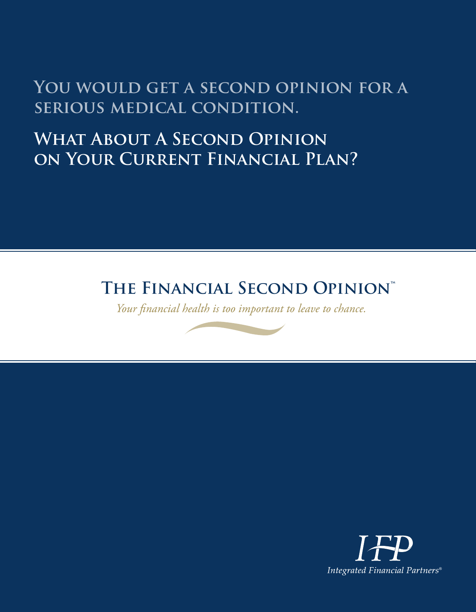## YOU WOULD GET A SECOND OPINION FOR A **serious medical condition.**

# **What About A Second Opinion on Your Current Financial Plan?**

## **The Financial Second Opinion™**

*Your financial health is too important to leave to chance.*